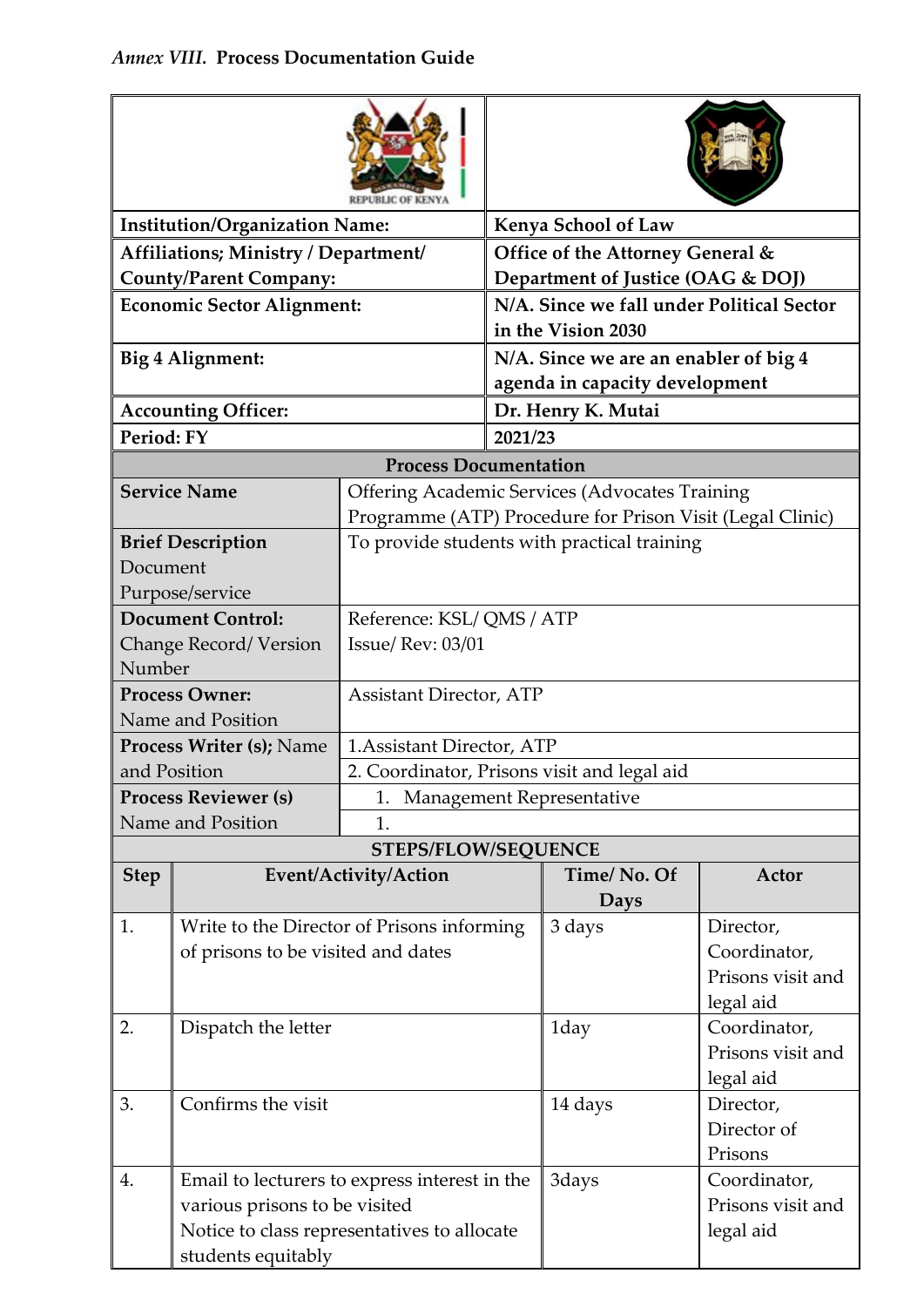| <b>Institution/Organization Name:</b> |                                                                                                                                                     |                                                           |                                                                         | Kenya School of Law                                         |                                                |  |  |  |
|---------------------------------------|-----------------------------------------------------------------------------------------------------------------------------------------------------|-----------------------------------------------------------|-------------------------------------------------------------------------|-------------------------------------------------------------|------------------------------------------------|--|--|--|
| Affiliations; Ministry / Department/  |                                                                                                                                                     |                                                           | Office of the Attorney General &                                        |                                                             |                                                |  |  |  |
| <b>County/Parent Company:</b>         |                                                                                                                                                     |                                                           | Department of Justice (OAG & DOJ)                                       |                                                             |                                                |  |  |  |
| <b>Economic Sector Alignment:</b>     |                                                                                                                                                     |                                                           | N/A. Since we fall under Political Sector<br>in the Vision 2030         |                                                             |                                                |  |  |  |
| Big 4 Alignment:                      |                                                                                                                                                     |                                                           | N/A. Since we are an enabler of big 4<br>agenda in capacity development |                                                             |                                                |  |  |  |
| <b>Accounting Officer:</b>            |                                                                                                                                                     |                                                           | Dr. Henry K. Mutai                                                      |                                                             |                                                |  |  |  |
| Period: FY                            |                                                                                                                                                     |                                                           | 2021/23                                                                 |                                                             |                                                |  |  |  |
|                                       |                                                                                                                                                     | <b>Process Documentation</b>                              |                                                                         |                                                             |                                                |  |  |  |
|                                       | <b>Service Name</b>                                                                                                                                 |                                                           |                                                                         | <b>Offering Academic Services (Advocates Training</b>       |                                                |  |  |  |
|                                       |                                                                                                                                                     | Programme (ATP) Procedure for Prison Visit (Legal Clinic) |                                                                         |                                                             |                                                |  |  |  |
| <b>Brief Description</b>              |                                                                                                                                                     | To provide students with practical training               |                                                                         |                                                             |                                                |  |  |  |
| Document                              |                                                                                                                                                     |                                                           |                                                                         |                                                             |                                                |  |  |  |
| Purpose/service                       |                                                                                                                                                     |                                                           |                                                                         |                                                             |                                                |  |  |  |
| <b>Document Control:</b>              |                                                                                                                                                     | Reference: KSL/QMS/ATP                                    |                                                                         |                                                             |                                                |  |  |  |
|                                       | Change Record/Version                                                                                                                               | <b>Issue/ Rev: 03/01</b>                                  |                                                                         |                                                             |                                                |  |  |  |
| Number                                |                                                                                                                                                     |                                                           |                                                                         |                                                             |                                                |  |  |  |
| <b>Process Owner:</b>                 |                                                                                                                                                     | <b>Assistant Director, ATP</b>                            |                                                                         |                                                             |                                                |  |  |  |
| Name and Position                     |                                                                                                                                                     |                                                           |                                                                         |                                                             |                                                |  |  |  |
| <b>Process Writer (s); Name</b>       |                                                                                                                                                     | 1. Assistant Director, ATP                                |                                                                         |                                                             |                                                |  |  |  |
| and Position                          |                                                                                                                                                     | 2. Coordinator, Prisons visit and legal aid               |                                                                         |                                                             |                                                |  |  |  |
|                                       | <b>Process Reviewer (s)</b>                                                                                                                         | Management Representative                                 |                                                                         |                                                             |                                                |  |  |  |
|                                       | Name and Position                                                                                                                                   | 1.                                                        |                                                                         |                                                             |                                                |  |  |  |
|                                       |                                                                                                                                                     | <b>STEPS/FLOW/SEQUENCE</b>                                |                                                                         |                                                             |                                                |  |  |  |
| <b>Step</b>                           |                                                                                                                                                     | Event/Activity/Action                                     |                                                                         | Time/No. Of<br>Days                                         | Actor                                          |  |  |  |
| 1.                                    | Write to the Director of Prisons informing<br>of prisons to be visited and dates                                                                    |                                                           | 3 days                                                                  | Director,<br>Coordinator,<br>Prisons visit and<br>legal aid |                                                |  |  |  |
| 2.                                    | Dispatch the letter                                                                                                                                 |                                                           |                                                                         | 1day                                                        | Coordinator,<br>Prisons visit and<br>legal aid |  |  |  |
| 3.                                    | Confirms the visit                                                                                                                                  |                                                           |                                                                         | 14 days                                                     | Director,<br>Director of<br>Prisons            |  |  |  |
| 4.                                    | Email to lecturers to express interest in the<br>various prisons to be visited<br>Notice to class representatives to allocate<br>students equitably |                                                           |                                                                         | 3days                                                       | Coordinator,<br>Prisons visit and<br>legal aid |  |  |  |